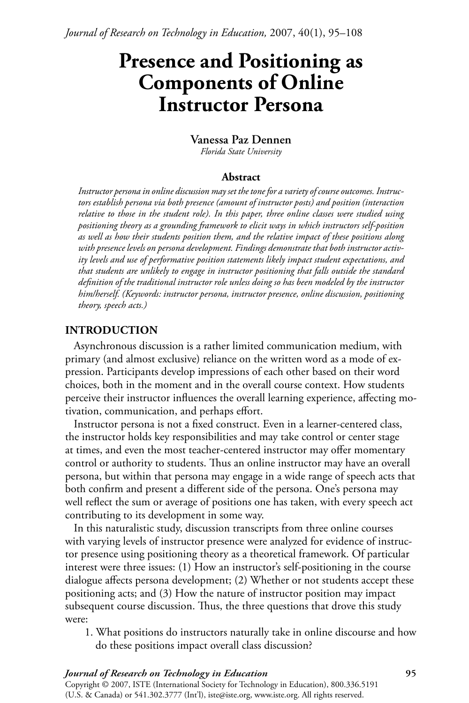# **Presence and Positioning as Components of Online Instructor Persona**

### **Vanessa Paz Dennen**

*Florida State University*

#### **Abstract**

*Instructor persona in online discussion may set the tone for a variety of course outcomes. Instructors establish persona via both presence (amount of instructor posts) and position (interaction relative to those in the student role). In this paper, three online classes were studied using positioning theory as a grounding framework to elicit ways in which instructors self-position as well as how their students position them, and the relative impact of these positions along with presence levels on persona development. Findings demonstrate that both instructor activity levels and use of performative position statements likely impact student expectations, and that students are unlikely to engage in instructor positioning that falls outside the standard definition of the traditional instructor role unless doing so has been modeled by the instructor him/herself. (Keywords: instructor persona, instructor presence, online discussion, positioning theory, speech acts.)*

### **Introduction**

Asynchronous discussion is a rather limited communication medium, with primary (and almost exclusive) reliance on the written word as a mode of expression. Participants develop impressions of each other based on their word choices, both in the moment and in the overall course context. How students perceive their instructor influences the overall learning experience, affecting motivation, communication, and perhaps effort.

Instructor persona is not a fixed construct. Even in a learner-centered class, the instructor holds key responsibilities and may take control or center stage at times, and even the most teacher-centered instructor may offer momentary control or authority to students. Thus an online instructor may have an overall persona, but within that persona may engage in a wide range of speech acts that both confirm and present a different side of the persona. One's persona may well reflect the sum or average of positions one has taken, with every speech act contributing to its development in some way.

In this naturalistic study, discussion transcripts from three online courses with varying levels of instructor presence were analyzed for evidence of instructor presence using positioning theory as a theoretical framework. Of particular interest were three issues: (1) How an instructor's self-positioning in the course dialogue affects persona development; (2) Whether or not students accept these positioning acts; and (3) How the nature of instructor position may impact subsequent course discussion. Thus, the three questions that drove this study were:

1. What positions do instructors naturally take in online discourse and how do these positions impact overall class discussion?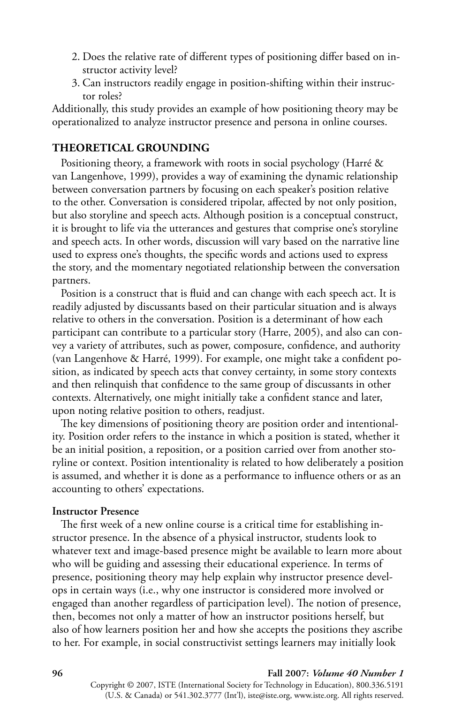- 2. Does the relative rate of different types of positioning differ based on instructor activity level?
- 3. Can instructors readily engage in position-shifting within their instructor roles?

Additionally, this study provides an example of how positioning theory may be operationalized to analyze instructor presence and persona in online courses.

### **Theoretical Grounding**

Positioning theory, a framework with roots in social psychology (Harré & van Langenhove, 1999), provides a way of examining the dynamic relationship between conversation partners by focusing on each speaker's position relative to the other. Conversation is considered tripolar, affected by not only position, but also storyline and speech acts. Although position is a conceptual construct, it is brought to life via the utterances and gestures that comprise one's storyline and speech acts. In other words, discussion will vary based on the narrative line used to express one's thoughts, the specific words and actions used to express the story, and the momentary negotiated relationship between the conversation partners.

Position is a construct that is fluid and can change with each speech act. It is readily adjusted by discussants based on their particular situation and is always relative to others in the conversation. Position is a determinant of how each participant can contribute to a particular story (Harre, 2005), and also can convey a variety of attributes, such as power, composure, confidence, and authority (van Langenhove & Harré, 1999). For example, one might take a confident position, as indicated by speech acts that convey certainty, in some story contexts and then relinquish that confidence to the same group of discussants in other contexts. Alternatively, one might initially take a confident stance and later, upon noting relative position to others, readjust.

The key dimensions of positioning theory are position order and intentionality. Position order refers to the instance in which a position is stated, whether it be an initial position, a reposition, or a position carried over from another storyline or context. Position intentionality is related to how deliberately a position is assumed, and whether it is done as a performance to influence others or as an accounting to others' expectations.

### **Instructor Presence**

The first week of a new online course is a critical time for establishing instructor presence. In the absence of a physical instructor, students look to whatever text and image-based presence might be available to learn more about who will be guiding and assessing their educational experience. In terms of presence, positioning theory may help explain why instructor presence develops in certain ways (i.e., why one instructor is considered more involved or engaged than another regardless of participation level). The notion of presence, then, becomes not only a matter of how an instructor positions herself, but also of how learners position her and how she accepts the positions they ascribe to her. For example, in social constructivist settings learners may initially look

### **96 Fall 2007:** *Volume 40 Number 1*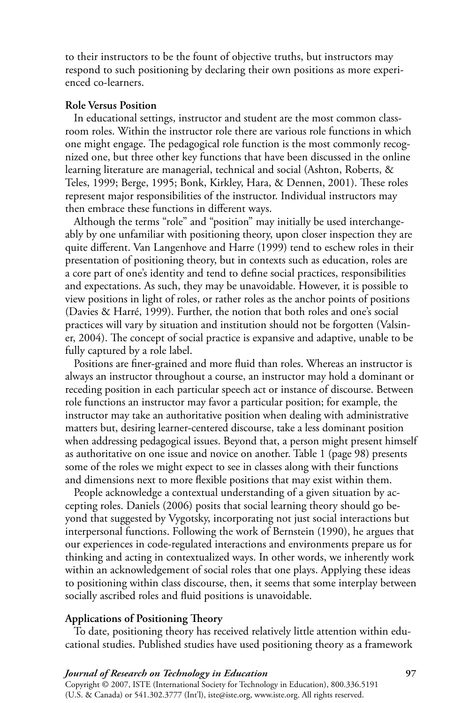to their instructors to be the fount of objective truths, but instructors may respond to such positioning by declaring their own positions as more experienced co-learners.

#### **Role Versus Position**

In educational settings, instructor and student are the most common classroom roles. Within the instructor role there are various role functions in which one might engage. The pedagogical role function is the most commonly recognized one, but three other key functions that have been discussed in the online learning literature are managerial, technical and social (Ashton, Roberts, & Teles, 1999; Berge, 1995; Bonk, Kirkley, Hara, & Dennen, 2001). These roles represent major responsibilities of the instructor. Individual instructors may then embrace these functions in different ways.

Although the terms "role" and "position" may initially be used interchangeably by one unfamiliar with positioning theory, upon closer inspection they are quite different. Van Langenhove and Harre (1999) tend to eschew roles in their presentation of positioning theory, but in contexts such as education, roles are a core part of one's identity and tend to define social practices, responsibilities and expectations. As such, they may be unavoidable. However, it is possible to view positions in light of roles, or rather roles as the anchor points of positions (Davies & Harré, 1999). Further, the notion that both roles and one's social practices will vary by situation and institution should not be forgotten (Valsiner, 2004). The concept of social practice is expansive and adaptive, unable to be fully captured by a role label.

Positions are finer-grained and more fluid than roles. Whereas an instructor is always an instructor throughout a course, an instructor may hold a dominant or receding position in each particular speech act or instance of discourse. Between role functions an instructor may favor a particular position; for example, the instructor may take an authoritative position when dealing with administrative matters but, desiring learner-centered discourse, take a less dominant position when addressing pedagogical issues. Beyond that, a person might present himself as authoritative on one issue and novice on another. Table 1 (page 98) presents some of the roles we might expect to see in classes along with their functions and dimensions next to more flexible positions that may exist within them.

People acknowledge a contextual understanding of a given situation by accepting roles. Daniels (2006) posits that social learning theory should go beyond that suggested by Vygotsky, incorporating not just social interactions but interpersonal functions. Following the work of Bernstein (1990), he argues that our experiences in code-regulated interactions and environments prepare us for thinking and acting in contextualized ways. In other words, we inherently work within an acknowledgement of social roles that one plays. Applying these ideas to positioning within class discourse, then, it seems that some interplay between socially ascribed roles and fluid positions is unavoidable.

#### **Applications of Positioning Theory**

To date, positioning theory has received relatively little attention within educational studies. Published studies have used positioning theory as a framework

#### *Journal of Research on Technology in Education* **97** Copyright © 2007, ISTE (International Society for Technology in Education), 800.336.5191

(U.S. & Canada) or 541.302.3777 (Int'l), iste@iste.org, www.iste.org. All rights reserved.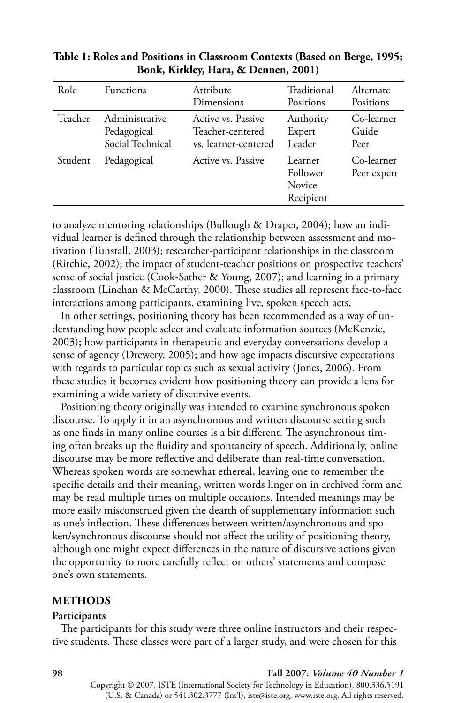| Role    | <b>Functions</b>                                  | Attribute<br>Dimensions                                        | Traditional<br>Positions                   | Alternate<br>Positions      |
|---------|---------------------------------------------------|----------------------------------------------------------------|--------------------------------------------|-----------------------------|
| Teacher | Administrative<br>Pedagogical<br>Social Technical | Active vs. Passive<br>Teacher-centered<br>vs. learner-centered | Authority<br>Expert<br>Leader              | Co-learner<br>Guide<br>Peer |
| Student | Pedagogical                                       | Active vs. Passive                                             | Learner<br>Follower<br>Novice<br>Recipient | Co-learner<br>Peer expert   |

**Table 1: Roles and Positions in Classroom Contexts (Based on Berge, 1995; Bonk, Kirkley, Hara, & Dennen, 2001)**

to analyze mentoring relationships (Bullough & Draper, 2004); how an individual learner is defined through the relationship between assessment and motivation (Tunstall, 2003); researcher-participant relationships in the classroom (Ritchie, 2002); the impact of student-teacher positions on prospective teachers' sense of social justice (Cook-Sather & Young, 2007); and learning in a primary classroom (Linehan & McCarthy, 2000). These studies all represent face-to-face interactions among participants, examining live, spoken speech acts.

In other settings, positioning theory has been recommended as a way of understanding how people select and evaluate information sources (McKenzie, 2003); how participants in therapeutic and everyday conversations develop a sense of agency (Drewery, 2005); and how age impacts discursive expectations with regards to particular topics such as sexual activity (Jones, 2006). From these studies it becomes evident how positioning theory can provide a lens for examining a wide variety of discursive events.

Positioning theory originally was intended to examine synchronous spoken discourse. To apply it in an asynchronous and written discourse setting such as one finds in many online courses is a bit different. The asynchronous timing often breaks up the fluidity and spontaneity of speech. Additionally, online discourse may be more reflective and deliberate than real-time conversation. Whereas spoken words are somewhat ethereal, leaving one to remember the specific details and their meaning, written words linger on in archived form and may be read multiple times on multiple occasions. Intended meanings may be more easily misconstrued given the dearth of supplementary information such as one's inflection. These differences between written/asynchronous and spoken/synchronous discourse should not affect the utility of positioning theory, although one might expect differences in the nature of discursive actions given the opportunity to more carefully reflect on others' statements and compose one's own statements.

### **Methods**

#### **Participants**

The participants for this study were three online instructors and their respective students. These classes were part of a larger study, and were chosen for this

### **98 Fall 2007:** *Volume 40 Number 1*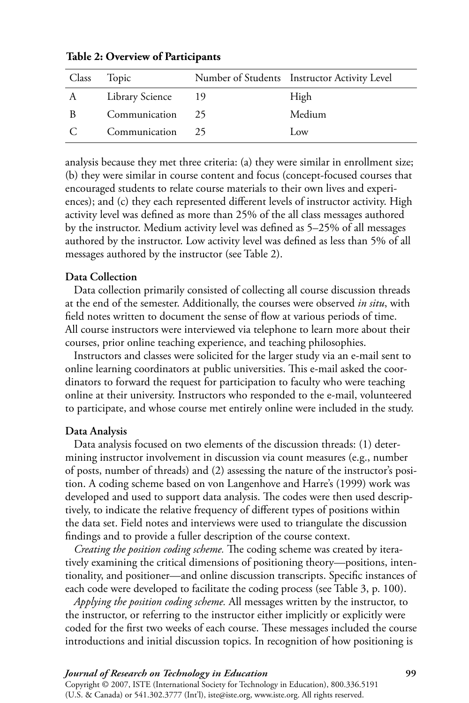| Class    | Topic                  |    | Number of Students Instructor Activity Level |
|----------|------------------------|----|----------------------------------------------|
| A        | <b>Library Science</b> |    | High                                         |
| - B      | Communication 25       |    | Medium                                       |
| $\Gamma$ | Communication          | 25 | Low                                          |

**Table 2: Overview of Participants**

analysis because they met three criteria: (a) they were similar in enrollment size; (b) they were similar in course content and focus (concept-focused courses that encouraged students to relate course materials to their own lives and experiences); and (c) they each represented different levels of instructor activity. High activity level was defined as more than 25% of the all class messages authored by the instructor. Medium activity level was defined as 5–25% of all messages authored by the instructor. Low activity level was defined as less than 5% of all messages authored by the instructor (see Table 2).

### **Data Collection**

Data collection primarily consisted of collecting all course discussion threads at the end of the semester. Additionally, the courses were observed *in situ*, with field notes written to document the sense of flow at various periods of time. All course instructors were interviewed via telephone to learn more about their courses, prior online teaching experience, and teaching philosophies.

Instructors and classes were solicited for the larger study via an e-mail sent to online learning coordinators at public universities. This e-mail asked the coordinators to forward the request for participation to faculty who were teaching online at their university. Instructors who responded to the e-mail, volunteered to participate, and whose course met entirely online were included in the study.

#### **Data Analysis**

Data analysis focused on two elements of the discussion threads: (1) determining instructor involvement in discussion via count measures (e.g., number of posts, number of threads) and (2) assessing the nature of the instructor's position. A coding scheme based on von Langenhove and Harre's (1999) work was developed and used to support data analysis. The codes were then used descriptively, to indicate the relative frequency of different types of positions within the data set. Field notes and interviews were used to triangulate the discussion findings and to provide a fuller description of the course context.

*Creating the position coding scheme.* The coding scheme was created by iteratively examining the critical dimensions of positioning theory—positions, intentionality, and positioner—and online discussion transcripts. Specific instances of each code were developed to facilitate the coding process (see Table 3, p. 100).

*Applying the position coding scheme.* All messages written by the instructor, to the instructor, or referring to the instructor either implicitly or explicitly were coded for the first two weeks of each course. These messages included the course introductions and initial discussion topics. In recognition of how positioning is

## *Journal of Research on Technology in Education* **99**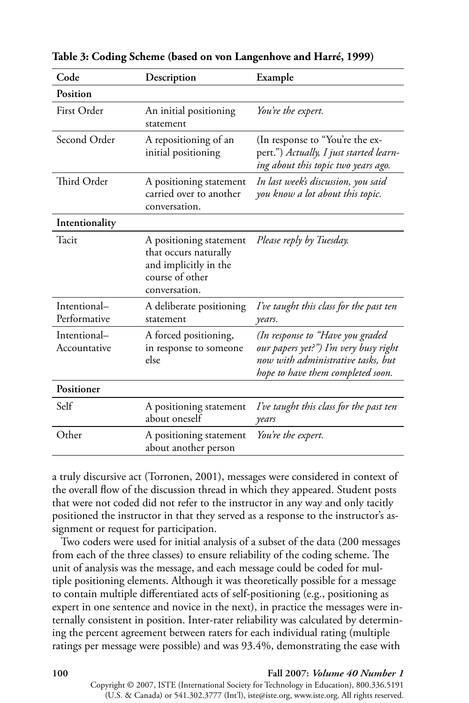| Code<br>Description          |                                                                                                               | Example                                                                                                                                              |  |  |  |
|------------------------------|---------------------------------------------------------------------------------------------------------------|------------------------------------------------------------------------------------------------------------------------------------------------------|--|--|--|
| Position                     |                                                                                                               |                                                                                                                                                      |  |  |  |
| First Order                  | An initial positioning<br>statement                                                                           | You're the expert.                                                                                                                                   |  |  |  |
| Second Order                 | A repositioning of an<br>initial positioning                                                                  | (In response to "You're the ex-<br>pert.") Actually, I just started learn-<br>ing about this topic two years ago.                                    |  |  |  |
| Third Order                  | A positioning statement<br>carried over to another<br>conversation.                                           | In last week's discussion, you said<br>you know a lot about this topic.                                                                              |  |  |  |
| Intentionality               |                                                                                                               |                                                                                                                                                      |  |  |  |
| Tacit                        | A positioning statement<br>that occurs naturally<br>and implicitly in the<br>course of other<br>conversation. | Please reply by Tuesday.                                                                                                                             |  |  |  |
| Intentional-<br>Performative | A deliberate positioning<br>statement                                                                         | I've taught this class for the past ten<br>years.                                                                                                    |  |  |  |
| Intentional-<br>Accountative | A forced positioning,<br>in response to someone<br>else                                                       | (In response to "Have you graded<br>our papers yet?") I'm very busy right<br>now with administrative tasks, but<br>hope to have them completed soon. |  |  |  |
| Positioner                   |                                                                                                               |                                                                                                                                                      |  |  |  |
| Self                         | A positioning statement<br>about oneself                                                                      | I've taught this class for the past ten<br>years                                                                                                     |  |  |  |
| Other                        | A positioning statement<br>about another person                                                               | You're the expert.                                                                                                                                   |  |  |  |

**Table 3: Coding Scheme (based on von Langenhove and Harré, 1999)**

a truly discursive act (Torronen, 2001), messages were considered in context of the overall flow of the discussion thread in which they appeared. Student posts that were not coded did not refer to the instructor in any way and only tacitly positioned the instructor in that they served as a response to the instructor's assignment or request for participation.

Two coders were used for initial analysis of a subset of the data (200 messages from each of the three classes) to ensure reliability of the coding scheme. The unit of analysis was the message, and each message could be coded for multiple positioning elements. Although it was theoretically possible for a message to contain multiple differentiated acts of self-positioning (e.g., positioning as expert in one sentence and novice in the next), in practice the messages were internally consistent in position. Inter-rater reliability was calculated by determining the percent agreement between raters for each individual rating (multiple ratings per message were possible) and was 93.4%, demonstrating the ease with

### **100 Fall 2007:** *Volume 40 Number 1*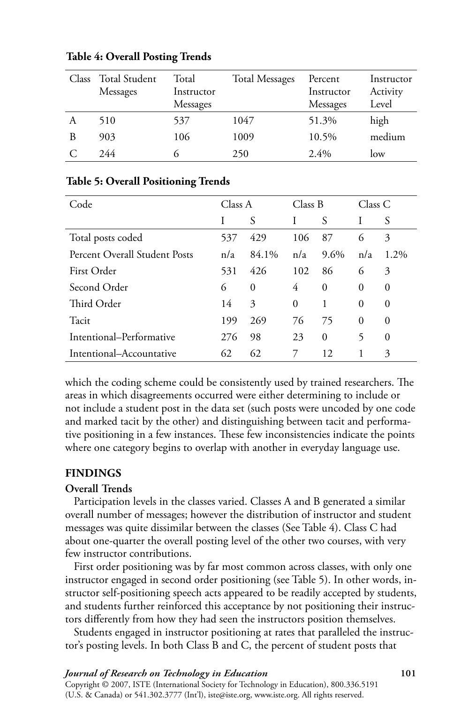| Class | <b>Total Student</b><br>Messages | Total<br>Instructor<br>Messages | <b>Total Messages</b> | Percent<br>Instructor<br>Messages | Instructor<br>Activity<br>Level |  |
|-------|----------------------------------|---------------------------------|-----------------------|-----------------------------------|---------------------------------|--|
|       | 510                              | 537                             | 1047                  | 51.3%                             | high                            |  |
| B     | 903                              | 106                             | 1009                  | 10.5%                             | medium                          |  |
|       | 244                              |                                 | 250                   | 2.4%                              | low                             |  |

### **Table 4: Overall Posting Trends**

#### **Table 5: Overall Positioning Trends**

| Code                          | Class A |          | Class B  |          | Class C  |                |
|-------------------------------|---------|----------|----------|----------|----------|----------------|
|                               | I       | S        | I        | S        | I        | S              |
| Total posts coded             | 537     | 429      | 106      | 87       | 6        | 3              |
| Percent Overall Student Posts | n/a     | 84.1%    | n/a      | $9.6\%$  | n/a      | $1.2\%$        |
| First Order                   | 531     | 426      | 102      | 86       | 6        | 3              |
| Second Order                  | 6       | $\Omega$ | 4        | $\Omega$ | $\theta$ | $\overline{0}$ |
| Third Order                   | 14      | 3        | $\Omega$ | 1        | $\theta$ | $\theta$       |
| Tacit                         | 199     | 269      | 76       | 75       | $\Omega$ | $\theta$       |
| Intentional-Performative      | 276     | 98       | 23       | $\Omega$ | 5        | $\theta$       |
| Intentional–Accountative      | 62      | 62       |          | 12       |          | 3              |

which the coding scheme could be consistently used by trained researchers. The areas in which disagreements occurred were either determining to include or not include a student post in the data set (such posts were uncoded by one code and marked tacit by the other) and distinguishing between tacit and performative positioning in a few instances. These few inconsistencies indicate the points where one category begins to overlap with another in everyday language use.

### **Findings**

### **Overall Trends**

Participation levels in the classes varied. Classes A and B generated a similar overall number of messages; however the distribution of instructor and student messages was quite dissimilar between the classes (See Table 4). Class C had about one-quarter the overall posting level of the other two courses, with very few instructor contributions.

First order positioning was by far most common across classes, with only one instructor engaged in second order positioning (see Table 5). In other words, instructor self-positioning speech acts appeared to be readily accepted by students, and students further reinforced this acceptance by not positioning their instructors differently from how they had seen the instructors position themselves.

Students engaged in instructor positioning at rates that paralleled the instructor's posting levels. In both Class B and C, the percent of student posts that

### *Journal of Research on Technology in Education* **101**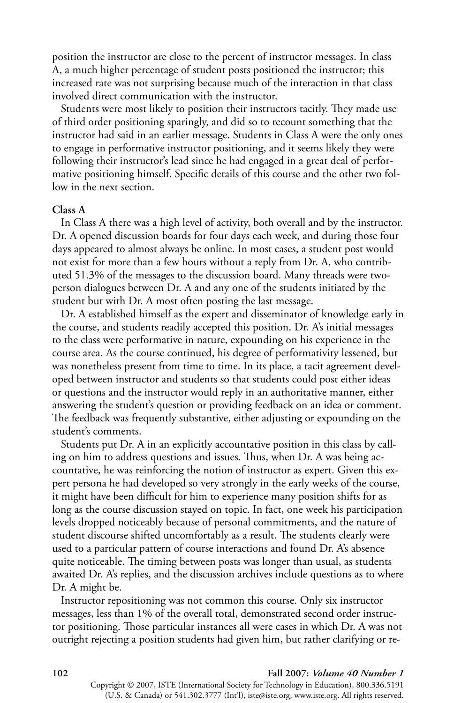position the instructor are close to the percent of instructor messages. In class A, a much higher percentage of student posts positioned the instructor; this increased rate was not surprising because much of the interaction in that class involved direct communication with the instructor.

Students were most likely to position their instructors tacitly. They made use of third order positioning sparingly, and did so to recount something that the instructor had said in an earlier message. Students in Class A were the only ones to engage in performative instructor positioning, and it seems likely they were following their instructor's lead since he had engaged in a great deal of performative positioning himself. Specific details of this course and the other two follow in the next section.

#### **Class A**

In Class A there was a high level of activity, both overall and by the instructor. Dr. A opened discussion boards for four days each week, and during those four days appeared to almost always be online. In most cases, a student post would not exist for more than a few hours without a reply from Dr. A, who contributed 51.3% of the messages to the discussion board. Many threads were twoperson dialogues between Dr. A and any one of the students initiated by the student but with Dr. A most often posting the last message.

Dr. A established himself as the expert and disseminator of knowledge early in the course, and students readily accepted this position. Dr. A's initial messages to the class were performative in nature, expounding on his experience in the course area. As the course continued, his degree of performativity lessened, but was nonetheless present from time to time. In its place, a tacit agreement developed between instructor and students so that students could post either ideas or questions and the instructor would reply in an authoritative manner, either answering the student's question or providing feedback on an idea or comment. The feedback was frequently substantive, either adjusting or expounding on the student's comments.

Students put Dr. A in an explicitly accountative position in this class by calling on him to address questions and issues. Thus, when Dr. A was being accountative, he was reinforcing the notion of instructor as expert. Given this expert persona he had developed so very strongly in the early weeks of the course, it might have been difficult for him to experience many position shifts for as long as the course discussion stayed on topic. In fact, one week his participation levels dropped noticeably because of personal commitments, and the nature of student discourse shifted uncomfortably as a result. The students clearly were used to a particular pattern of course interactions and found Dr. A's absence quite noticeable. The timing between posts was longer than usual, as students awaited Dr. A's replies, and the discussion archives include questions as to where Dr. A might be.

Instructor repositioning was not common this course. Only six instructor messages, less than 1% of the overall total, demonstrated second order instructor positioning. Those particular instances all were cases in which Dr. A was not outright rejecting a position students had given him, but rather clarifying or re-

#### **102 Fall 2007:** *Volume 40 Number 1*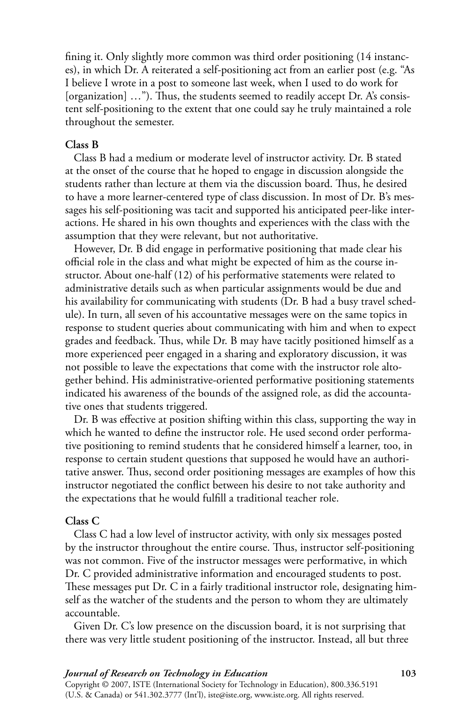fining it. Only slightly more common was third order positioning (14 instances), in which Dr. A reiterated a self-positioning act from an earlier post (e.g. "As I believe I wrote in a post to someone last week, when I used to do work for [organization] ..."). Thus, the students seemed to readily accept Dr. A's consistent self-positioning to the extent that one could say he truly maintained a role throughout the semester.

### **Class B**

Class B had a medium or moderate level of instructor activity. Dr. B stated at the onset of the course that he hoped to engage in discussion alongside the students rather than lecture at them via the discussion board. Thus, he desired to have a more learner-centered type of class discussion. In most of Dr. B's messages his self-positioning was tacit and supported his anticipated peer-like interactions. He shared in his own thoughts and experiences with the class with the assumption that they were relevant, but not authoritative.

However, Dr. B did engage in performative positioning that made clear his official role in the class and what might be expected of him as the course instructor. About one-half (12) of his performative statements were related to administrative details such as when particular assignments would be due and his availability for communicating with students (Dr. B had a busy travel schedule). In turn, all seven of his accountative messages were on the same topics in response to student queries about communicating with him and when to expect grades and feedback. Thus, while Dr. B may have tacitly positioned himself as a more experienced peer engaged in a sharing and exploratory discussion, it was not possible to leave the expectations that come with the instructor role altogether behind. His administrative-oriented performative positioning statements indicated his awareness of the bounds of the assigned role, as did the accountative ones that students triggered.

Dr. B was effective at position shifting within this class, supporting the way in which he wanted to define the instructor role. He used second order performative positioning to remind students that he considered himself a learner, too, in response to certain student questions that supposed he would have an authoritative answer. Thus, second order positioning messages are examples of how this instructor negotiated the conflict between his desire to not take authority and the expectations that he would fulfill a traditional teacher role.

### **Class C**

Class C had a low level of instructor activity, with only six messages posted by the instructor throughout the entire course. Thus, instructor self-positioning was not common. Five of the instructor messages were performative, in which Dr. C provided administrative information and encouraged students to post. These messages put Dr. C in a fairly traditional instructor role, designating himself as the watcher of the students and the person to whom they are ultimately accountable.

Given Dr. C's low presence on the discussion board, it is not surprising that there was very little student positioning of the instructor. Instead, all but three

#### *Journal of Research on Technology in Education* **103** Copyright © 2007, ISTE (International Society for Technology in Education), 800.336.5191 (U.S. & Canada) or 541.302.3777 (Int'l), iste@iste.org, www.iste.org. All rights reserved.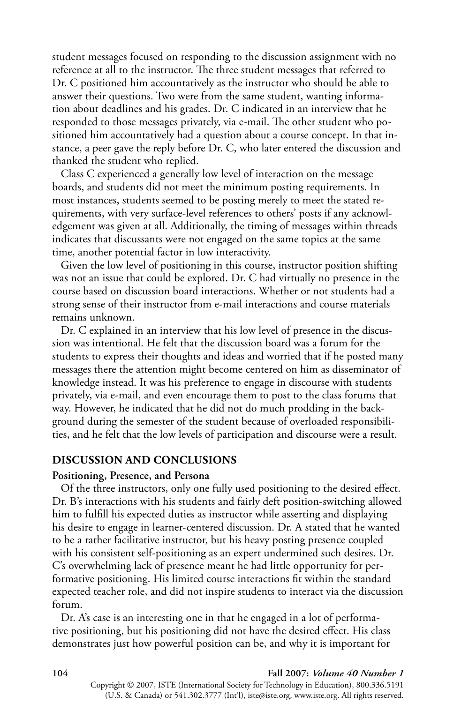student messages focused on responding to the discussion assignment with no reference at all to the instructor. The three student messages that referred to Dr. C positioned him accountatively as the instructor who should be able to answer their questions. Two were from the same student, wanting information about deadlines and his grades. Dr. C indicated in an interview that he responded to those messages privately, via e-mail. The other student who positioned him accountatively had a question about a course concept. In that instance, a peer gave the reply before Dr. C, who later entered the discussion and thanked the student who replied.

Class C experienced a generally low level of interaction on the message boards, and students did not meet the minimum posting requirements. In most instances, students seemed to be posting merely to meet the stated requirements, with very surface-level references to others' posts if any acknowledgement was given at all. Additionally, the timing of messages within threads indicates that discussants were not engaged on the same topics at the same time, another potential factor in low interactivity.

Given the low level of positioning in this course, instructor position shifting was not an issue that could be explored. Dr. C had virtually no presence in the course based on discussion board interactions. Whether or not students had a strong sense of their instructor from e-mail interactions and course materials remains unknown.

Dr. C explained in an interview that his low level of presence in the discussion was intentional. He felt that the discussion board was a forum for the students to express their thoughts and ideas and worried that if he posted many messages there the attention might become centered on him as disseminator of knowledge instead. It was his preference to engage in discourse with students privately, via e-mail, and even encourage them to post to the class forums that way. However, he indicated that he did not do much prodding in the background during the semester of the student because of overloaded responsibilities, and he felt that the low levels of participation and discourse were a result.

### **Discussion and Conclusions**

#### **Positioning, Presence, and Persona**

Of the three instructors, only one fully used positioning to the desired effect. Dr. B's interactions with his students and fairly deft position-switching allowed him to fulfill his expected duties as instructor while asserting and displaying his desire to engage in learner-centered discussion. Dr. A stated that he wanted to be a rather facilitative instructor, but his heavy posting presence coupled with his consistent self-positioning as an expert undermined such desires. Dr. C's overwhelming lack of presence meant he had little opportunity for performative positioning. His limited course interactions fit within the standard expected teacher role, and did not inspire students to interact via the discussion forum.

Dr. A's case is an interesting one in that he engaged in a lot of performative positioning, but his positioning did not have the desired effect. His class demonstrates just how powerful position can be, and why it is important for

### **104 Fall 2007:** *Volume 40 Number 1*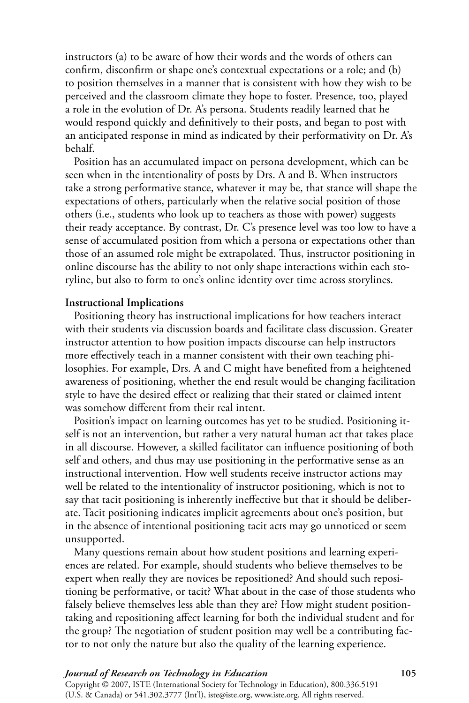instructors (a) to be aware of how their words and the words of others can confirm, disconfirm or shape one's contextual expectations or a role; and (b) to position themselves in a manner that is consistent with how they wish to be perceived and the classroom climate they hope to foster. Presence, too, played a role in the evolution of Dr. A's persona. Students readily learned that he would respond quickly and definitively to their posts, and began to post with an anticipated response in mind as indicated by their performativity on Dr. A's behalf.

Position has an accumulated impact on persona development, which can be seen when in the intentionality of posts by Drs. A and B. When instructors take a strong performative stance, whatever it may be, that stance will shape the expectations of others, particularly when the relative social position of those others (i.e., students who look up to teachers as those with power) suggests their ready acceptance. By contrast, Dr. C's presence level was too low to have a sense of accumulated position from which a persona or expectations other than those of an assumed role might be extrapolated. Thus, instructor positioning in online discourse has the ability to not only shape interactions within each storyline, but also to form to one's online identity over time across storylines.

### **Instructional Implications**

Positioning theory has instructional implications for how teachers interact with their students via discussion boards and facilitate class discussion. Greater instructor attention to how position impacts discourse can help instructors more effectively teach in a manner consistent with their own teaching philosophies. For example, Drs. A and C might have benefited from a heightened awareness of positioning, whether the end result would be changing facilitation style to have the desired effect or realizing that their stated or claimed intent was somehow different from their real intent.

Position's impact on learning outcomes has yet to be studied. Positioning itself is not an intervention, but rather a very natural human act that takes place in all discourse. However, a skilled facilitator can influence positioning of both self and others, and thus may use positioning in the performative sense as an instructional intervention. How well students receive instructor actions may well be related to the intentionality of instructor positioning, which is not to say that tacit positioning is inherently ineffective but that it should be deliberate. Tacit positioning indicates implicit agreements about one's position, but in the absence of intentional positioning tacit acts may go unnoticed or seem unsupported.

Many questions remain about how student positions and learning experiences are related. For example, should students who believe themselves to be expert when really they are novices be repositioned? And should such repositioning be performative, or tacit? What about in the case of those students who falsely believe themselves less able than they are? How might student positiontaking and repositioning affect learning for both the individual student and for the group? The negotiation of student position may well be a contributing factor to not only the nature but also the quality of the learning experience.

### *Journal of Research on Technology in Education* **105**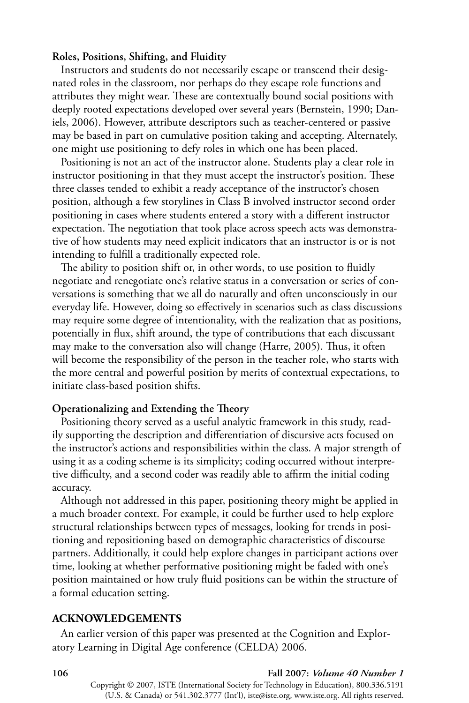### **Roles, Positions, Shifting, and Fluidity**

Instructors and students do not necessarily escape or transcend their designated roles in the classroom, nor perhaps do they escape role functions and attributes they might wear. These are contextually bound social positions with deeply rooted expectations developed over several years (Bernstein, 1990; Daniels, 2006). However, attribute descriptors such as teacher-centered or passive may be based in part on cumulative position taking and accepting. Alternately, one might use positioning to defy roles in which one has been placed.

Positioning is not an act of the instructor alone. Students play a clear role in instructor positioning in that they must accept the instructor's position. These three classes tended to exhibit a ready acceptance of the instructor's chosen position, although a few storylines in Class B involved instructor second order positioning in cases where students entered a story with a different instructor expectation. The negotiation that took place across speech acts was demonstrative of how students may need explicit indicators that an instructor is or is not intending to fulfill a traditionally expected role.

The ability to position shift or, in other words, to use position to fluidly negotiate and renegotiate one's relative status in a conversation or series of conversations is something that we all do naturally and often unconsciously in our everyday life. However, doing so effectively in scenarios such as class discussions may require some degree of intentionality, with the realization that as positions, potentially in flux, shift around, the type of contributions that each discussant may make to the conversation also will change (Harre, 2005). Thus, it often will become the responsibility of the person in the teacher role, who starts with the more central and powerful position by merits of contextual expectations, to initiate class-based position shifts.

#### **Operationalizing and Extending the Theory**

Positioning theory served as a useful analytic framework in this study, readily supporting the description and differentiation of discursive acts focused on the instructor's actions and responsibilities within the class. A major strength of using it as a coding scheme is its simplicity; coding occurred without interpretive difficulty, and a second coder was readily able to affirm the initial coding accuracy.

Although not addressed in this paper, positioning theory might be applied in a much broader context. For example, it could be further used to help explore structural relationships between types of messages, looking for trends in positioning and repositioning based on demographic characteristics of discourse partners. Additionally, it could help explore changes in participant actions over time, looking at whether performative positioning might be faded with one's position maintained or how truly fluid positions can be within the structure of a formal education setting.

#### **Acknowledgements**

An earlier version of this paper was presented at the Cognition and Exploratory Learning in Digital Age conference (CELDA) 2006.

#### **106 Fall 2007:** *Volume 40 Number 1*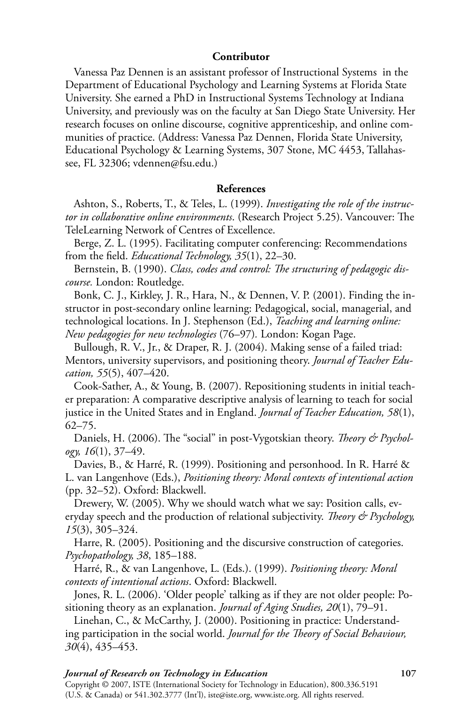### **Contributor**

Vanessa Paz Dennen is an assistant professor of Instructional Systems in the Department of Educational Psychology and Learning Systems at Florida State University. She earned a PhD in Instructional Systems Technology at Indiana University, and previously was on the faculty at San Diego State University. Her research focuses on online discourse, cognitive apprenticeship, and online communities of practice. (Address: Vanessa Paz Dennen, Florida State University, Educational Psychology & Learning Systems, 307 Stone, MC 4453, Tallahassee, FL 32306; vdennen@fsu.edu.)

### **References**

Ashton, S., Roberts, T., & Teles, L. (1999). *Investigating the role of the instructor in collaborative online environments*. (Research Project 5.25). Vancouver: The TeleLearning Network of Centres of Excellence.

Berge, Z. L. (1995). Facilitating computer conferencing: Recommendations from the field. *Educational Technology, 35*(1), 22–30.

Bernstein, B. (1990). *Class, codes and control: The structuring of pedagogic discourse.* London: Routledge.

Bonk, C. J., Kirkley, J. R., Hara, N., & Dennen, V. P. (2001). Finding the instructor in post-secondary online learning: Pedagogical, social, managerial, and technological locations. In J. Stephenson (Ed.), *Teaching and learning online: New pedagogies for new technologies* (76–97)*.* London: Kogan Page.

Bullough, R. V., Jr., & Draper, R. J. (2004). Making sense of a failed triad: Mentors, university supervisors, and positioning theory. *Journal of Teacher Education, 55*(5), 407–420.

Cook-Sather, A., & Young, B. (2007). Repositioning students in initial teacher preparation: A comparative descriptive analysis of learning to teach for social justice in the United States and in England. *Journal of Teacher Education, 58*(1), 62–75.

Daniels, H. (2006). The "social" in post-Vygotskian theory. *Theory & Psychology, 16*(1), 37–49.

Davies, B., & Harré, R. (1999). Positioning and personhood. In R. Harré & L. van Langenhove (Eds.), *Positioning theory: Moral contexts of intentional action* (pp. 32–52). Oxford: Blackwell.

Drewery, W. (2005). Why we should watch what we say: Position calls, everyday speech and the production of relational subjectivity. *Theory & Psychology, 15*(3), 305–324.

Harre, R. (2005). Positioning and the discursive construction of categories. *Psychopathology, 38*, 185–188.

Harré, R., & van Langenhove, L. (Eds.). (1999). *Positioning theory: Moral contexts of intentional actions*. Oxford: Blackwell.

Jones, R. L. (2006). 'Older people' talking as if they are not older people: Positioning theory as an explanation. *Journal of Aging Studies, 20*(1), 79–91.

Linehan, C., & McCarthy, J. (2000). Positioning in practice: Understanding participation in the social world. *Journal for the Theory of Social Behaviour, 30*(4), 435–453.

### *Journal of Research on Technology in Education* **107**